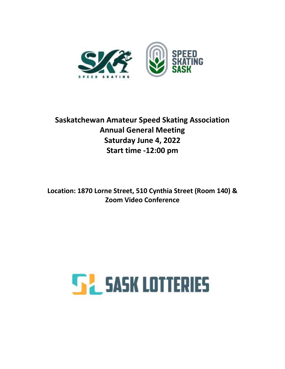

## **Saskatchewan Amateur Speed Skating Association Annual General Meeting Saturday June 4, 2022 Start time -12:00 pm**

**Location: 1870 Lorne Street, 510 Cynthia Street (Room 140) & Zoom Video Conference**

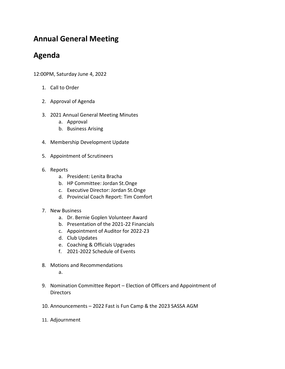## **Annual General Meeting**

## **Agenda**

12:00PM, Saturday June 4, 2022

- 1. Call to Order
- 2. Approval of Agenda
- 3. 2021 Annual General Meeting Minutes
	- a. Approval
	- b. Business Arising
- 4. Membership Development Update
- 5. Appointment of Scrutineers
- 6. Reports
	- a. President: Lenita Bracha
	- b. HP Committee: Jordan St.Onge
	- c. Executive Director: Jordan St.Onge
	- d. Provincial Coach Report: Tim Comfort
- 7. New Business
	- a. Dr. Bernie Goplen Volunteer Award
	- b. Presentation of the 2021-22 Financials
	- c. Appointment of Auditor for 2022-23
	- d. Club Updates
	- e. Coaching & Officials Upgrades
	- f. 2021-2022 Schedule of Events
- 8. Motions and Recommendations
	- a.
- 9. Nomination Committee Report Election of Officers and Appointment of **Directors**
- 10. Announcements 2022 Fast is Fun Camp & the 2023 SASSA AGM
- 11. Adjournment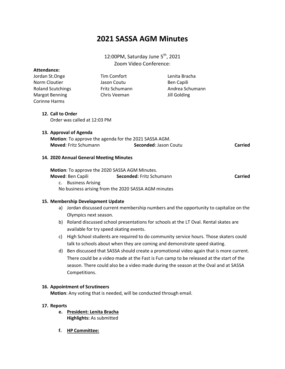## **2021 SASSA AGM Minutes**

## 12:00PM, Saturday June  $5^{\text{th}}$ , 2021 Zoom Video Conference:

| Attendance:              |                |                   |
|--------------------------|----------------|-------------------|
| Jordan St.Onge           | Tim Comfort    | Lenita Bracha     |
| Norm Cloutier            | Jason Coutu    | <b>Ben Capili</b> |
| <b>Roland Scutchings</b> | Fritz Schumann | Andrea Schumann   |
| Margot Benning           | Chris Veeman   | Jill Golding      |
| <b>Corinne Harms</b>     |                |                   |

## **12. Call to Order**

Order was called at 12:03 PM

#### **13. Approval of Agenda**

|                              | <b>Motion:</b> To approve the agenda for the 2021 SASSA AGM. |         |
|------------------------------|--------------------------------------------------------------|---------|
| <b>Moved:</b> Fritz Schumann | <b>Seconded: Jason Coutu</b>                                 | Carried |

#### **14. 2020 Annual General Meeting Minutes**

**Motion**: To approve the 2020 SASSA AGM Minutes. **Moved**: Ben Capili **Seconded**: Fritz Schumann **Carried** c. Business Arising No business arising from the 2020 SASSA AGM minutes

#### **15. Membership Development Update**

- a) Jordan discussed current membership numbers and the opportunity to capitalize on the Olympics next season.
- b) Roland discussed school presentations for schools at the LT Oval. Rental skates are available for try speed skating events.
- c) High School students are required to do community service hours. Those skaters could talk to schools about when they are coming and demonstrate speed skating.
- d) Ben discussed that SASSA should create a promotional video again that is more current. There could be a video made at the Fast is Fun camp to be released at the start of the season. There could also be a video made during the season at the Oval and at SASSA Competitions.

#### **16. Appointment of Scrutineers**

**Motion**: Any voting that is needed, will be conducted through email.

#### **17. Reports**

- **e. President: Lenita Bracha Highlights:** As submitted
- **f. HP Committee:**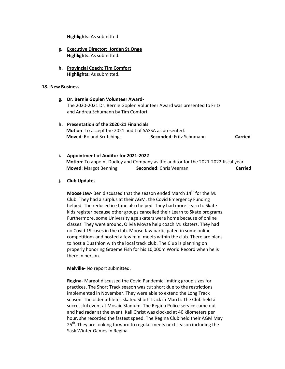**Highlights:** As submitted

- **g. Executive Director: Jordan St.Onge Highlights:** As submitted.
- **h. Provincial Coach: Tim Comfort Highlights:** As submitted.

#### **18. New Business**

- **g. Dr. Bernie Goplen Volunteer Award-**The 2020-2021 Dr. Bernie Goplen Volunteer Award was presented to Fritz and Andrea Schumann by Tim Comfort.
- **h. Presentation of the 2020-21 Financials Motion**: To accept the 2021 audit of SASSA as presented.  **Moved**: Roland Scutchings **Seconded**: Fritz Schumann **Carried**
- **i. Appointment of Auditor for 2021-2022 Motion**: To appoint Dudley and Company as the auditor for the 2021-2022 fiscal year.  **Moved**: Margot Benning **Seconded**: Chris Veeman **Carried**

#### **j. Club Updates**

**Moose Jaw-** Ben discussed that the season ended March 14<sup>th</sup> for the MJ Club. They had a surplus at their AGM, the Covid Emergency Funding helped. The reduced ice time also helped. They had more Learn to Skate kids register because other groups cancelled their Learn to Skate programs. Furthermore, some University age skaters were home because of online classes. They were around, Olivia Moyse help coach MJ skaters. They had no Covid 19 cases in the club. Moose Jaw participated in some online competitions and hosted a few mini meets within the club. There are plans to host a Duathlon with the local track club. The Club is planning on properly honoring Graeme Fish for his 10,000m World Record when he is there in person.

**Melville-** No report submitted.

**Regina-** Margot discussed the Covid Pandemic limiting group sizes for practices. The Short Track season was cut short due to the restrictions implemented in November. They were able to extend the Long Track season. The older athletes skated Short Track in March. The Club held a successful event at Mosaic Stadium. The Regina Police service came out and had radar at the event. Kali Christ was clocked at 40 kilometers per hour, she recorded the fastest speed. The Regina Club held their AGM May 25<sup>th</sup>. They are looking forward to regular meets next season including the Sask Winter Games in Regina.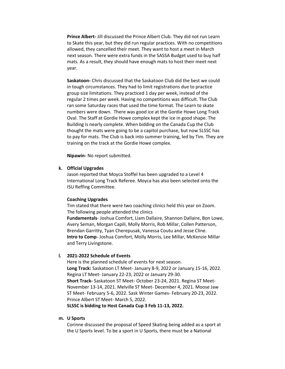**Prince Albert-** Jill discussed the Prince Albert Club. They did not run Learn to Skate this year, but they did run regular practices. With no competitions allowed, they cancelled their meet. They want to host a meet in March next season. There were extra funds in the SASSA Budget used to buy half mats. As a result, they should have enough mats to host their meet next year.

**Saskatoon-** Chris discussed that the Saskatoon Club did the best we could in tough circumstances. They had to limit registrations due to practice group size limitations. They practiced 1 day per week, instead of the regular 2 times per week. Having no competitions was difficult. The Club ran some Saturday races that used the time format. The Learn to skate numbers were down. There was good ice at the Gordie Howe Long Track Oval. The Staff at Gordie Howe complex kept the ice in good shape. The Building is nearly complete. When bidding on the Canada Cup the Club thought the mats were going to be a capitol purchase, but now SLSSC has to pay for mats. The Club is back into summer training, led by Tim. They are training on the track at the Gordie Howe complex.

**Nipawin-** No report submitted.

#### **k. Official Upgrades**

Jason reported that Moyca Stoffel has been upgraded to a Level 4 International Long Track Referee. Moyca has also been selected onto the ISU Reffing Committee.

#### **Coaching Upgrades**

Tim stated that there were two coaching clinics held this year on Zoom. The following people attended the clinics **Fundamentals**- Joshua Comfort, Liam Dallaire, Shannon Dallaire, Bon Lowe, Avery Seman, Morgan Capili, Molly Morris, Rob Millar, Collen Patterson, Brendan Garritty, Tyan Cherepusak, Vanessa Coutu and Jesse Cline. **Intro to Comp**- Joshua Comfort, Molly Morris, Lee Millar, McKenzie Millar and Terry Livingstone.

#### **l. 2021-2022 Schedule of Events**

Here is the planned schedule of events for next season. **Long Track:** Saskatoon LT Meet- January 8-9, 2022 or January 15-16, 2022. Regina LT Meet- January 22-23, 2022 or January 29-30. **Short Track-** Saskatoon ST Meet- October 23-24, 2021. Regina ST Meet-November 13-14, 2021. Melville ST Meet- December 4, 2021. Moose Jaw ST Meet- February 5-6, 2022. Sask Winter Games- February 20-23, 2022. Prince Albert ST Meet- March 5, 2022.

**SLSSC is bidding to Host Canada Cup 3 Feb 11-13, 2022.**

#### **m. U Sports**

Corinne discussed the proposal of Speed Skating being added as a sport at the U Sports level. To be a sport in U Sports, there must be a National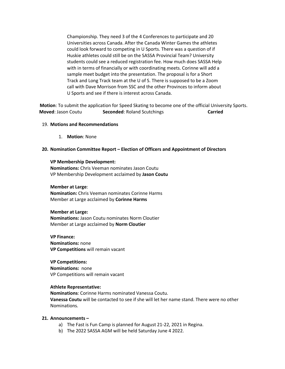Championship. They need 3 of the 4 Conferences to participate and 20 Universities across Canada. After the Canada Winter Games the athletes could look forward to competing in U Sports. There was a question of if Huskie athletes could still be on the SASSA Provincial Team? University students could see a reduced registration fee. How much does SASSA Help with in terms of financially or with coordinating meets. Corinne will add a sample meet budget into the presentation. The proposal is for a Short Track and Long Track team at the U of S. There is supposed to be a Zoom call with Dave Morrison from SSC and the other Provinces to inform about U Sports and see if there is interest across Canada.

**Motion**: To submit the application for Speed Skating to become one of the official University Sports.  **Moved**: Jason Coutu **Seconded**: Roland Scutchings **Carried** 

#### 19. **Motions and Recommendations**

1. **Motion**: None

#### **20. Nomination Committee Report – Election of Officers and Appointment of Directors**

#### **VP Membership Development:**

**Nominations:** Chris Veeman nominates Jason Coutu VP Membership Development acclaimed by **Jason Coutu**

#### **Member at Large**:

**Nomination:** Chris Veeman nominates Corinne Harms Member at Large acclaimed by **Corinne Harms**

#### **Member at Large:**

**Nominations:** Jason Coutu nominates Norm Cloutier Member at Large acclaimed by **Norm Cloutier** 

**VP Finance: Nominations:** none **VP Competitions** will remain vacant

## **VP Competitions:**

**Nominations:** none VP Competitions will remain vacant

#### **Athlete Representative:**

**Nominations**: Corinne Harms nominated Vanessa Coutu. **Vanessa Coutu** will be contacted to see if she will let her name stand. There were no other Nominations.

#### **21. Announcements –**

- a) The Fast is Fun Camp is planned for August 21-22, 2021 in Regina.
- b) The 2022 SASSA AGM will be held Saturday June 4 2022.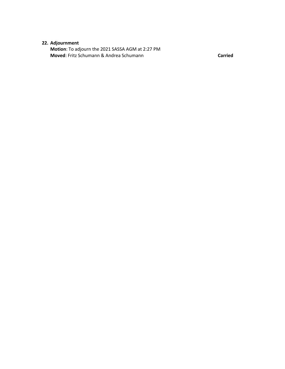## **22. Adjournment**

**Motion**: To adjourn the 2021 SASSA AGM at 2:27 PM **Moved**: Fritz Schumann & Andrea Schumann **Carried**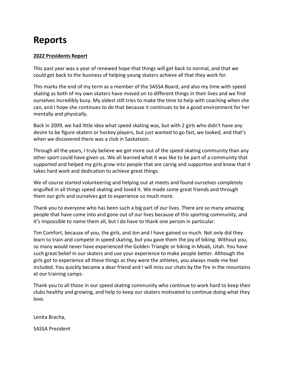# **Reports**

## **2022 Presidents Report**

This past year was a year of renewed hope that things will get back to normal, and that we could get back to the business of helping young skaters achieve all that they work for.

This marks the end of my term as a member of the SASSA Board, and also my time with speed skating as both of my own skaters have moved on to different things in their lives and we find ourselves incredibly busy. My oldest still tries to make the time to help with coaching when she can, and I hope she continues to do that because it continues to be a good environment for her mentally and physically.

Back in 2009, we had little idea what speed skating was, but with 2 girls who didn't have any desire to be figure skaters or hockey players, but just wanted to go fast, we looked, and that's when we discovered there was a club in Saskatoon.

Through all the years, I truly believe we got more out of the speed skating community than any other sport could have given us. We all learned what it was like to be part of a community that supported and helped my girls grow into people that are caring and supportive and know that it takes hard work and dedication to achieve great things.

We of course started volunteering and helping out at meets and found ourselves completely engulfed in all things speed skating and loved it. We made some great friends and through them our girls and ourselves got to experience so much more.

Thank you to everyone who has been such a big part of our lives. There are so many amazing people that have come into and gone out of our lives because of this sporting community, and it's impossible to name them all, but I do have to thank one person in particular.

Tim Comfort, because of you, the girls, and Jon and I have gained so much. Not only did they learn to train and compete in speed skating, but you gave them the joy of biking. Without you, so many would never have experienced the Golden Triangle or biking in Moab, Utah. You have such great belief in our skaters and use your experience to make people better. Although the girls got to experience all these things as they were the athletes, you always made me feel included. You quickly became a dear friend and I will miss our chats by the fire in the mountains at our training camps.

Thank you to all those in our speed skating community who continue to work hard to keep their clubs healthy and growing, and help to keep our skaters motivated to continue doing what they love.

Lenita Bracha,

SASSA President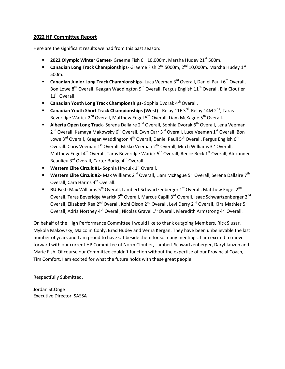### **2022 HP Committee Report**

Here are the significant results we had from this past season:

- **2022 Olympic Winter Games** Graeme Fish 6<sup>th</sup> 10,000m, Marsha Hudey 21<sup>st</sup> 500m.
- **Canadian Long Track Championships** Graeme Fish 2<sup>nd</sup> 5000m, 2<sup>nd</sup> 10,000m. Marsha Hudey 1<sup>st</sup> 500m.
- **Canadian Junior Long Track Championships** Luca Veeman 3<sup>rd</sup> Overall, Daniel Pauli 6<sup>th</sup> Overall, Bon Lowe 8<sup>th</sup> Overall, Keagan Waddington 9<sup>th</sup> Overall, Fergus English 11<sup>th</sup> Overall. Ella Cloutier 11<sup>th</sup> Overall.
- **Canadian Youth Long Track Championships** Sophia Dvorak 4<sup>th</sup> Overall.
- **E** Canadian Youth Short Track Championships (West) Relay 11F 3<sup>rd</sup>, Relay 14M 2<sup>nd</sup>, Taras Beveridge Warick  $2^{nd}$  Overall, Matthew Engel 5<sup>th</sup> Overall, Liam McKague 5<sup>th</sup> Overall.
- **Alberta Open Long Track** Serena Dallaire 2<sup>nd</sup> Overall, Sophia Dvorak 6<sup>th</sup> Overall, Lena Veeman 2<sup>nd</sup> Overall, Kamaya Makowsky 6<sup>th</sup> Overall, Evyn Carr 3<sup>rd</sup> Overall, Luca Veeman 1<sup>st</sup> Overall, Bon Lowe 3<sup>rd</sup> Overall, Keagan Waddington 4<sup>th</sup> Overall, Daniel Pauli 5<sup>th</sup> Overall, Fergus English 6<sup>th</sup> Overall. Chris Veeman 1<sup>st</sup> Overall. Mikko Veeman 2<sup>nd</sup> Overall, Mitch Williams 3<sup>rd</sup> Overall, Matthew Engel 4<sup>th</sup> Overall, Taras Beveridge Warick 5<sup>th</sup> Overall, Reece Beck 1<sup>st</sup> Overall, Alexander Beaulieu 3<sup>rd</sup> Overall, Carter Budge 4<sup>th</sup> Overall.
- **Western Elite Circuit #1-** Sophia Hrycuik 1<sup>st</sup> Overall.
- **Western Elite Circuit #2-** Max Williams 2<sup>nd</sup> Overall, Liam McKague 5<sup>th</sup> Overall, Serena Dallaire 7<sup>th</sup> Overall, Cara Harms 4<sup>th</sup> Overall.
- **RU Fast-** Max Williams 5<sup>th</sup> Overall, Lambert Schwartzenberger 1<sup>st</sup> Overall, Matthew Engel 2<sup>nd</sup> Overall, Taras Beveridge Warick 6<sup>th</sup> Overall, Marcus Capili 3<sup>rd</sup> Overall, Isaac Schwartzenberger 2<sup>nd</sup> Overall, Elizabeth Rea 2<sup>nd</sup> Overall, Kohl Olson 2<sup>nd</sup> Overall, Levi Derry 2<sup>nd</sup> Overall, Kira Mathies 5<sup>th</sup> Overall, Adria Northey 4<sup>th</sup> Overall, Nicolas Gravel 1<sup>st</sup> Overall, Meredith Armstrong 4<sup>th</sup> Overall.

On behalf of the High Performance Committee I would like to thank outgoing Members, Rick Slusar, Mykola Makowsky, Malcolm Conly, Brad Hudey and Verna Kergan. They have been unbelievable the last number of years and I am proud to have sat beside them for so many meetings. I am excited to move forward with our current HP Committee of Norm Cloutier, Lambert Schwartzenberger, Daryl Janzen and Marie Fish. Of course our Committee couldn't function without the expertise of our Provincial Coach, Tim Comfort. I am excited for what the future holds with these great people.

Respectfully Submitted,

Jordan St.Onge Executive Director, SASSA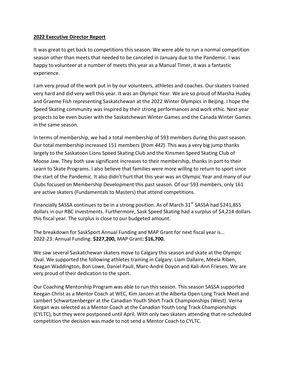## **2022 Executive Director Report**

It was great to get back to competitions this season. We were able to run a normal competition season other than meets that needed to be canceled in January due to the Pandemic. I was happy to volunteer at a number of meets this year as a Manual Timer, it was a fantastic experience.

I am very proud of the work put in by our volunteers, athletes and coaches. Our skaters trained very hard and did very well this year. It was an Olympic Year. We are so proud of Marsha Hudey and Graeme Fish representing Saskatchewan at the 2022 Winter Olympics in Beijing. I hope the Speed Skating community was inspired by their strong performances and work ethic. Next year projects to be even busier with the Saskatchewan Winter Games and the Canada Winter Games in the same season.

In terms of membership, we had a total membership of 593 members during this past season. Our total membership increased 151 members (*from 442*). This was a very big jump thanks largely to the Saskatoon Lions Speed Skating Club and the Kinsmen Speed Skating Club of Moose Jaw. They both saw significant increases to their membership, thanks in part to their Learn to Skate Programs. I also believe that families were more willing to return to sport since the start of the Pandemic. It also didn't hurt that this year was an Olympic Year and many of our Clubs focused on Membership Development this past season. Of our 593 members, only 161 are active skaters (Fundamentals to Masters) that attend competitions.

Financially SASSA continues to be in a strong position. As of March  $31<sup>st</sup>$  SASSA had \$241,855 dollars in our RBC investments. Furthermore, Sask Speed Skating had a surplus of \$4,214 dollars this fiscal year. The surplus is close to our budgeted amount.

The breakdown for SaskSport Annual Funding and MAP Grant for next fiscal year is… 2022-23: Annual Funding: **\$227,200,** MAP Grant**: \$16,700.**

We saw several Saskatchewan skaters move to Calgary this season and skate at the Olympic Oval. We supported the following athletes training in Calgary: Liam Dallaire, Meela Riben, Keagan Waddington, Bon Lowe, Daniel Pauli, Marc-André Doyon and Kali-Ann Friesen. We are very proud of their dedication to the sport.

Our Coaching Mentorship Program was able to run this season. This season SASSA supported Keegan Christ as a Mentor Coach at WEC, Kim Janzen at the Alberta Open Long Track Meet and Lambert Schwartzenberger at the Canadian Youth Short Track Championships (West). Verna Kergan was selected as a Mentor Coach at the Canadian Youth Long Track Championships (CYLTC), but they were postponed until April. With only two skaters attending that re-scheduled competition the decision was made to not send a Mentor Coach to CYLTC.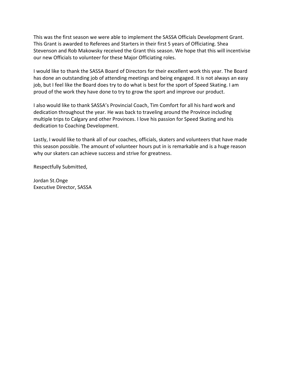This was the first season we were able to implement the SASSA Officials Development Grant. This Grant is awarded to Referees and Starters in their first 5 years of Officiating. Shea Stevenson and Rob Makowsky received the Grant this season. We hope that this will incentivise our new Officials to volunteer for these Major Officiating roles.

I would like to thank the SASSA Board of Directors for their excellent work this year. The Board has done an outstanding job of attending meetings and being engaged. It is not always an easy job, but I feel like the Board does try to do what is best for the sport of Speed Skating. I am proud of the work they have done to try to grow the sport and improve our product.

I also would like to thank SASSA's Provincial Coach, Tim Comfort for all his hard work and dedication throughout the year. He was back to traveling around the Province including multiple trips to Calgary and other Provinces. I love his passion for Speed Skating and his dedication to Coaching Development.

Lastly, I would like to thank all of our coaches, officials, skaters and volunteers that have made this season possible. The amount of volunteer hours put in is remarkable and is a huge reason why our skaters can achieve success and strive for greatness.

Respectfully Submitted,

Jordan St.Onge Executive Director, SASSA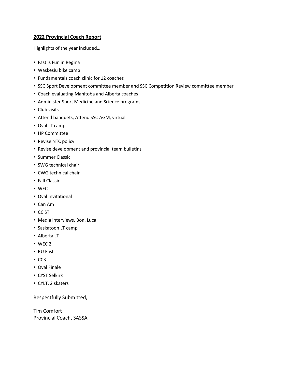### **2022 Provincial Coach Report**

Highlights of the year included…

- Fast is Fun in Regina
- Waskesiu bike camp
- Fundamentals coach clinic for 12 coaches
- SSC Sport Development committee member and SSC Competition Review committee member
- Coach evaluating Manitoba and Alberta coaches
- Administer Sport Medicine and Science programs
- Club visits
- Attend banquets, Attend SSC AGM, virtual
- Oval LT camp
- HP Committee
- Revise NTC policy
- Revise development and provincial team bulletins
- Summer Classic
- SWG technical chair
- CWG technical chair
- Fall Classic
- WEC
- Oval Invitational
- Can Am
- CC ST
- Media interviews, Bon, Luca
- Saskatoon LT camp
- Alberta LT
- WEC 2
- RU Fast
- CC3
- Oval Finale
- CYST Selkirk
- CYLT, 2 skaters

Respectfully Submitted,

Tim Comfort Provincial Coach, SASSA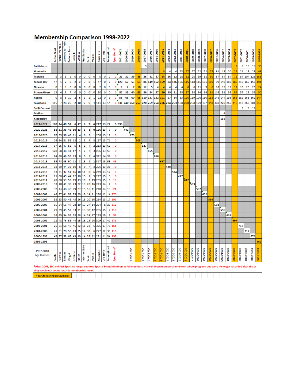| <b>Membership Comparison 1998-2022</b>                                                                                                                                                                                                |                 |                      |                   |               |             |              |              |         |          |                    |           |              |                            |           |          |           |           |           |           |                                      |           |           |           |           |           |           |           |           |               |           |           |           |                |                          |                  |               |           |
|---------------------------------------------------------------------------------------------------------------------------------------------------------------------------------------------------------------------------------------|-----------------|----------------------|-------------------|---------------|-------------|--------------|--------------|---------|----------|--------------------|-----------|--------------|----------------------------|-----------|----------|-----------|-----------|-----------|-----------|--------------------------------------|-----------|-----------|-----------|-----------|-----------|-----------|-----------|-----------|---------------|-----------|-----------|-----------|----------------|--------------------------|------------------|---------------|-----------|
|                                                                                                                                                                                                                                       | Start<br>Active | <b>FUNdatmentals</b> | Learning to Trail | ē<br>Train to | B<br>Junier | ď,<br>Junier | Neo Senio    | Senior  | Master   | Associate          | Ë<br>ŝ    | Recreationa  | ŵ<br>Spec                  | 2021-2022 | 2020-202 | 2019-2020 | 2018-2019 | 2017-2018 | 2016-201  | ١O<br><b>5-201</b><br>$\overline{a}$ | 2014-20   | 2013-201  | 2012-201  | 2011-20   | 2010-201  | 2009-2010 | 2008-2009 | 2007-2008 | 2006-200      | 2005-2006 | 2004-200  | 2003-2004 | 2002-2003      | 2002<br>$\frac{1}{2000}$ | 2000-2001        | 2000<br>1999. | 5661-8661 |
| <b>Battlefords</b>                                                                                                                                                                                                                    |                 |                      |                   |               |             |              |              |         |          |                    |           |              |                            |           |          |           |           | 9         |           |                                      |           |           |           |           |           |           |           |           |               |           |           |           | $\overline{2}$ | 8                        | 15               | 18            | 30        |
| <b>Humboldt</b>                                                                                                                                                                                                                       |                 |                      |                   |               |             |              |              |         |          |                    |           |              |                            |           |          |           |           |           |           |                                      | з         | 4         | 4         | 23        | 27        | 27        | 22        | 172       | 73            | 61        | 15        | 20        | 22             | 21                       | 13               | 25            | 46        |
| <b>Melville</b>                                                                                                                                                                                                                       | 5               | з                    | 8                 | 2             | o           | o            | o            | o       | o        | 5                  | o         | o            | о                          | 23        | 32       | 39        | 45        | 26        | 41        | 47                                   | 24        | 26        | 22        | 28        | 32        | 25        | 39        | 65        | 60            | 57        | 64        | 54        | 73             | 87                       | 104              | 126           | 159       |
| <b>Moose Jaw</b>                                                                                                                                                                                                                      | 47              | 1                    | 2                 | 8             | 2           | 2            | з            | o       | 1        | 47                 | 0         | 7            | О                          | 120       | 67       | 53        | 63        | 86        | 149       | 162                                  | 159       | 84        | 126       | 106       | 115       | 118       | 116       | 105       | 110           | 99        | 140       | 160       | 188            | 216                      | 169              | 156           | 191       |
| <b>Nipawin</b>                                                                                                                                                                                                                        | ٥               | 1                    | 1                 | ٥             | ٥           | ٥            | 0            | o       | 0        | 2                  | 0         | ٥            | 0                          | 4         | 2        | 7         | 10        | 12        | 5         | Δ                                    | 4         | 4         | 4         | 4         | 6         | 6         | 11        | 9         | 6             | 18        | 15        | 12        | 17             | 10                       | 29               | 29            | 24        |
| <b>Prince Albert</b>                                                                                                                                                                                                                  | 13              | 4                    | з                 | 7             | 0           | 0            | o            | o       | 0        | 30                 | o         | 0            | 0                          | 57        | 35       | 60        | 65        | 56        | 54        | 57                                   | 50        | 39        | 31        | 35        | 57        | 38        | 64        | 84        | 61            | 116       | 51        | 36        | 52             | 37                       | 25               | 38            | 50        |
| Regina                                                                                                                                                                                                                                | ٥               | 8                    | 6                 | 10            | 2           | 5            | 1            | 2       | 1        | 22                 | о         | 1            | 0                          | 58        | 66       | 60        | 65        |           | 110 137   | 132                                  | 101       | 57        | 84        | 93        | 120       | 119       | 106       | 130       | 133           | 146       | 144       | 139       | 165            | 182                      | 161 162          |               | 144       |
| Saskatoon                                                                                                                                                                                                                             | 115             | 7                    | 28                | 25            | 2           | 10           | 2            | 0       | 4        | 111                | 13        | 14           | 0                          | 331       | 240      | 260       | 257       |           | 228 269   | 254                                  | 296       | 234       | 253       | 188       | 270       | 208       | 179       | 407       | 448           | 308       | 220       | 266       | 346            | 317                      | 267              | 301 318       |           |
| <b>Swift Current</b>                                                                                                                                                                                                                  |                 |                      |                   |               |             |              |              |         |          |                    |           |              |                            |           |          |           |           |           |           |                                      |           |           |           |           |           |           |           |           |               |           |           |           |                | з                        | 9                | 12            |           |
| <b>Melfort</b>                                                                                                                                                                                                                        |                 |                      |                   |               |             |              |              |         |          |                    |           |              |                            |           |          |           |           |           |           |                                      |           |           |           |           |           |           |           |           |               |           | 4         |           |                |                          |                  |               |           |
| Kindersley                                                                                                                                                                                                                            |                 |                      |                   |               |             |              |              |         |          |                    |           |              |                            |           |          |           |           |           |           |                                      |           |           |           |           |           |           |           |           |               |           | 153       |           |                |                          |                  |               |           |
| 2021-2022                                                                                                                                                                                                                             | 180             | 24                   | 48                | 52            | 6           | 17           | 6            | 2       | 6        | 217                | 13        | 22           |                            | 0 593     |          |           |           |           |           |                                      |           |           |           |           |           |           |           |           |               |           |           |           |                |                          |                  |               |           |
| 2020-2021                                                                                                                                                                                                                             | 81              | 31                   | 36                | 49            | 10          | 13           | 5            | 1       | 0        | 196                | 13        | 7            | 0                          |           | 442      |           |           |           |           |                                      |           |           |           |           |           |           |           |           |               |           |           |           |                |                          |                  |               |           |
| 2019-2020                                                                                                                                                                                                                             | 87              | 53                   | 36                | 46            | 11          | 4            | 6            | 2       | 1        | 208                | 13        | 12           | о                          |           |          | 479       |           |           |           |                                      |           |           |           |           |           |           |           |           |               |           |           |           |                |                          |                  |               |           |
| 2018-2019                                                                                                                                                                                                                             | 26              | 64                   | 51                | 53            | 13          | 2            | з            | 4       | 8        | 197                | 13        | 71           | o                          |           |          |           | 505       |           |           |                                      |           |           |           |           |           |           |           |           |               |           |           |           |                |                          |                  |               |           |
| 2017-2018                                                                                                                                                                                                                             | 67              | 55                   | 47                | 53            | 5           | 5            | 1            | 4       | 2        | 213                | 13        | 62           | 0                          |           |          |           |           | 527       |           |                                      |           |           |           |           |           |           |           |           |               |           |           |           |                |                          |                  |               |           |
| 2016-2017                                                                                                                                                                                                                             | 120             | 58                   | 48                | 41            | 17          | 1            | 2            | 7       | з        | 286                | 13        | 59           | 0                          |           |          |           |           |           | 655       |                                      |           |           |           |           |           |           |           |           |               |           |           |           |                |                          |                  |               |           |
| 2015-2016                                                                                                                                                                                                                             | 64              | 88                   | 46                | 56            | 13          | 8            | 5            | 5       | 4        | 322                | 14        | 31           | 0                          |           |          |           |           |           |           | 656                                  |           |           |           |           |           |           |           |           |               |           |           |           |                |                          |                  |               |           |
| 2014-2015                                                                                                                                                                                                                             | 35              | 78                   | 45                | 50            | 12          | 8            | 13           | 2       | 2        | 317                | 13        | 59           | 48                         |           |          |           |           |           |           |                                      | 637       |           |           |           |           |           |           |           |               |           |           |           |                |                          |                  |               |           |
| 2013-2014                                                                                                                                                                                                                             | 18              | 60                   | 44                | 38            | 10          | 8            | 9            | 7       | з        | 205                | 13        | 33           | 0                          |           |          |           |           |           |           |                                      |           | 448       |           |           |           |           |           |           |               |           |           |           |                |                          |                  |               |           |
| 2012-2013                                                                                                                                                                                                                             | 43              | 71                   | 37                | 51            | 16          | 10           | 11           | o       | 6        | 249                | 13 17     |              | 0                          |           |          |           |           |           |           |                                      |           |           | 524       |           |           |           |           |           |               |           |           |           |                |                          |                  |               |           |
| 2011-2012                                                                                                                                                                                                                             | 21              | 60                   | 45                | 44            | 22          | 10           | 15           | 1       | 9        | 227                | 15        | 8            | 0                          |           |          |           |           |           |           |                                      |           |           |           | 477       |           |           |           |           |               |           |           |           |                |                          |                  |               |           |
| 2010-2011<br>2009-2010                                                                                                                                                                                                                | 49<br>33        | 80<br>40             | 53<br>41          | 55<br>38      | 19<br>43    | 13<br>22     | 16<br>19     | з<br>20 | 19<br>16 | 285<br>243         | 15<br>14  | 5<br>4       | 15<br>8                    |           |          |           |           |           |           |                                      |           |           |           |           | 612       | 533       |           |           |               |           |           |           |                |                          |                  |               |           |
| 2008-2009                                                                                                                                                                                                                             | 37              | 44                   | 48                | 46            | 29          | 27           | 15           | 16      | 11       | 240                | 14        | 10           | 21                         |           |          |           |           |           |           |                                      |           |           |           |           |           |           | 537       |           |               |           |           |           |                |                          |                  |               |           |
| 2007-2008                                                                                                                                                                                                                             | 48              | 37                   | 41                | 55            | 35          | 29           | 18           | 14      | 11       | 288                | 12        | 14           | 370                        |           |          |           |           |           |           |                                      |           |           |           |           |           |           |           | 602       |               |           |           |           |                |                          |                  |               |           |
| 2006-2007                                                                                                                                                                                                                             | 35              | 33                   | 50                | 43            | 43          | 26           | 15           | 20      | 10       | 294                | 13        | 17           | 292                        |           |          |           |           |           |           |                                      |           |           |           |           |           |           |           |           | 599           |           |           |           |                |                          |                  |               |           |
| 2005-2006                                                                                                                                                                                                                             | 15              | 34                   | 66                | 47            | 38          | 19           | 13           | 27      | 14       | 284                | 8         | 28           | 212                        |           |          |           |           |           |           |                                      |           |           |           |           |           |           |           |           |               | 593       |           |           |                |                          |                  |               |           |
| 2005-2004                                                                                                                                                                                                                             | 29              | 39                   | 45                | 57            | 33          | 31           | 13           | 30      | 12       | 285                | 15        | 7            | 218                        |           |          |           |           |           |           |                                      |           |           |           |           |           |           |           |           |               |           | 596       |           |                |                          |                  |               |           |
| 2004-2003                                                                                                                                                                                                                             | 26              | 65                   | 54                | 52            | 33          | 28           | 14           | 24      | 17       | 295                | 15        | 8            | 56                         |           |          |           |           |           |           |                                      |           |           |           |           |           |           |           |           |               |           |           | 631       |                |                          |                  |               |           |
| 2003-2002                                                                                                                                                                                                                             | 22              | 48                   | 76                | 53            | 44          | 25           | 15           | 23      | 20       | 309                | 17        | 42           | 171                        |           |          |           |           |           |           |                                      |           |           |           |           |           |           |           |           |               |           |           |           | 694            |                          |                  |               |           |
| 2002-2001                                                                                                                                                                                                                             | 26              | 51                   | 68                | 45            | 45          | 22           | 11           | 23      | 5        | 326                | 17        | 78           | 164                        |           |          |           |           |           |           |                                      |           |           |           |           |           |           |           |           |               |           |           |           |                | 717                      |                  |               |           |
| 2001-2000                                                                                                                                                                                                                             | 41              | 61                   | 70                | 56            | 43          | 25           | 14           | 30      | 6        | 277                | 12        | 39           | 118                        |           |          |           |           |           |           |                                      |           |           |           |           |           |           |           |           |               |           |           |           |                |                          | 717              |               |           |
| 2000-1999                                                                                                                                                                                                                             | 43              | 67                   | 58                | 68            | 49          |              |              |         |          | 19 14 26 12 271 11 |           | 34           | 195                        |           |          |           |           |           |           |                                      |           |           |           |           |           |           |           |           |               |           |           |           |                |                          |                  | 674           |           |
| 1999-1998                                                                                                                                                                                                                             |                 |                      |                   |               |             |              |              |         |          |                    |           |              |                            |           |          |           |           |           |           |                                      |           |           |           |           |           |           |           |           |               |           |           |           |                |                          |                  |               |           |
| 1997-2010<br><b>Age Classes</b>                                                                                                                                                                                                       | Cradle          | Peewee               | Bantam            | Midget        | Juvenile    | junior       | Intermediate | Senior  | Master   | Associate          | Life Time | Recreational | Event <sup>*</sup><br>Seec |           |          | 2017-2018 |           | 2017-2018 | 2016-2017 | 2015-2016                            | 2014-2015 | 2013-2014 | 2012-2013 | 2011-2012 | 2010-2011 | 2009-2010 | 5002-8002 | 8002-2002 | 2006-<br>300. | 2005-2006 | 2004-2005 | 2003-2004 | 2002<br>2003   | Z002-T002                | <b>2000-2001</b> | 0002-6661     | 666 L-866 |
| *After 2008, SSC and Sask Sport no longer counted Special Event Members as full members, many of these members came from school programs and were no longer recorded after this as<br>they would not count towards membership levels. |                 |                      |                   |               |             |              |              |         |          |                    |           |              |                            |           |          |           |           |           |           |                                      |           |           |           |           |           |           |           |           |               |           |           |           |                |                          |                  |               |           |
| <b>Years following an Olympics</b>                                                                                                                                                                                                    |                 |                      |                   |               |             |              |              |         |          |                    |           |              |                            |           |          |           |           |           |           |                                      |           |           |           |           |           |           |           |           |               |           |           |           |                |                          |                  |               |           |
|                                                                                                                                                                                                                                       |                 |                      |                   |               |             |              |              |         |          |                    |           |              |                            |           |          |           |           |           |           |                                      |           |           |           |           |           |           |           |           |               |           |           |           |                |                          |                  |               |           |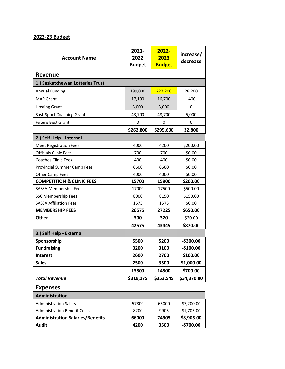## **2022-23 Budget**

| <b>Account Name</b>                     | 2021-<br>2022<br><b>Budget</b> | 2022-<br>2023<br><b>Budget</b> | increase/<br>decrease |  |  |  |
|-----------------------------------------|--------------------------------|--------------------------------|-----------------------|--|--|--|
| <b>Revenue</b>                          |                                |                                |                       |  |  |  |
| 1.) Saskatchewan Lotteries Trust        |                                |                                |                       |  |  |  |
| <b>Annual Funding</b>                   | 199,000                        | 227,200                        | 28,200                |  |  |  |
| <b>MAP Grant</b>                        | 17,100                         | 16,700                         | $-400$                |  |  |  |
| <b>Hosting Grant</b>                    | 3,000                          | 3,000                          | 0                     |  |  |  |
| Sask Sport Coaching Grant               | 43,700                         | 48,700                         | 5,000                 |  |  |  |
| <b>Future Best Grant</b>                | 0                              | 0                              | 0                     |  |  |  |
|                                         | \$262,800                      | \$295,600                      | 32,800                |  |  |  |
| 2.) Self Help - Internal                |                                |                                |                       |  |  |  |
| <b>Meet Registration Fees</b>           | 4000                           | 4200                           | \$200.00              |  |  |  |
| <b>Officials Clinic Fees</b>            | 700                            | 700                            | \$0.00                |  |  |  |
| <b>Coaches Clinic Fees</b>              | 400                            | 400                            | \$0.00                |  |  |  |
| <b>Provincial Summer Camp Fees</b>      | 6600                           | 6600                           | \$0.00                |  |  |  |
| <b>Other Camp Fees</b>                  | 4000                           | 4000                           | \$0.00                |  |  |  |
| <b>COMPETITION &amp; CLINIC FEES</b>    | 15700                          | 15900                          | \$200.00              |  |  |  |
| SASSA Membership Fees                   | 17000                          | 17500                          | \$500.00              |  |  |  |
| <b>SSC Membership Fees</b>              | 8000                           | 8150                           | \$150.00              |  |  |  |
| <b>SASSA Affiliation Fees</b>           | 1575                           | 1575                           | \$0.00                |  |  |  |
| <b>MEMBERSHIP FEES</b>                  | 26575                          | 27225                          | \$650.00              |  |  |  |
| Other                                   | 300                            | 320                            | \$20.00               |  |  |  |
|                                         | 42575                          | 43445                          | \$870.00              |  |  |  |
| 3.) Self Help - External                |                                |                                |                       |  |  |  |
| Sponsorship                             | 5500                           | 5200                           | $-$300.00$            |  |  |  |
| <b>Fundraising</b>                      | 3200                           | 3100                           | $-$100.00$            |  |  |  |
| <b>Interest</b>                         | 2600                           | 2700                           | \$100.00              |  |  |  |
| <b>Sales</b>                            | 2500                           | 3500                           | \$1,000.00            |  |  |  |
|                                         | 13800                          | 14500                          | \$700.00              |  |  |  |
| <b>Total Revenue</b>                    | \$319,175                      | \$353,545                      | \$34,370.00           |  |  |  |
| <b>Expenses</b>                         |                                |                                |                       |  |  |  |
| <b>Administration</b>                   |                                |                                |                       |  |  |  |
| <b>Administration Salary</b>            | 57800                          | 65000                          | \$7,200.00            |  |  |  |
| <b>Administration Benefit Costs</b>     | 8200                           | 9905                           | \$1,705.00            |  |  |  |
| <b>Administration Salaries/Benefits</b> | 66000                          | 74905                          | \$8,905.00            |  |  |  |
| <b>Audit</b>                            | 4200                           | 3500                           | $-$700.00$            |  |  |  |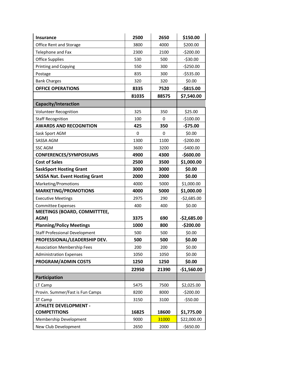| <b>Insurance</b>                                                      | 2500       | 2650       | \$150.00                   |
|-----------------------------------------------------------------------|------------|------------|----------------------------|
| Office Rent and Storage                                               | 3800       | 4000       | \$200.00                   |
| Telephone and Fax                                                     | 2300       | 2100       | $-5200.00$                 |
| <b>Office Supplies</b>                                                | 530        | 500        | $-530.00$                  |
| <b>Printing and Copying</b>                                           | 550        | 300        | $-5250.00$                 |
| Postage                                                               | 835        | 300        | $-5535.00$                 |
| <b>Bank Charges</b>                                                   | 320        | 320        | \$0.00                     |
| <b>OFFICE OPERATIONS</b>                                              | 8335       | 7520       | $-$815.00$                 |
|                                                                       | 81035      | 88575      | \$7,540.00                 |
| Capacity/Interaction                                                  |            |            |                            |
| Volunteer Recognition                                                 | 325        | 350        | \$25.00                    |
| <b>Staff Recognition</b>                                              | 100        | 0          | $-$100.00$                 |
| <b>AWARDS AND RECOGNITION</b>                                         | 425        | 350        | -\$75.00                   |
| Sask Sport AGM                                                        | 0          | 0          | \$0.00                     |
| <b>SASSA AGM</b>                                                      | 1300       | 1100       | $-5200.00$                 |
| <b>SSC AGM</b>                                                        | 3600       | 3200       | $-$400.00$                 |
| <b>CONFERENCES/SYMPOSIUMS</b>                                         | 4900       | 4300       | $-$600.00$                 |
| <b>Cost of Sales</b>                                                  | 2500       | 3500       | \$1,000.00                 |
| <b>SaskSport Hosting Grant</b>                                        | 3000       | 3000       | \$0.00                     |
| <b>SASSA Nat. Event Hosting Grant</b>                                 | 2000       | 2000       | \$0.00                     |
| Marketing/Promotions                                                  | 4000       | 5000       | \$1,000.00                 |
| <b>MARKETING/PROMOTIONS</b>                                           | 4000       | 5000       | \$1,000.00                 |
| <b>Executive Meetings</b>                                             | 2975       | 290        | $-$2,685.00$               |
| <b>Committee Expenses</b>                                             | 400        | 400        | \$0.00                     |
| MEETINGS (BOARD, COMMITTTEE,                                          | 3375       |            |                            |
| AGM)<br><b>Planning/Policy Meetings</b>                               | 1000       | 690<br>800 | $-$2,685.00$<br>$-$200.00$ |
|                                                                       |            |            |                            |
| <b>Staff Professional Development</b><br>PROFESSIONAL/LEADERSHIP DEV. | 500<br>500 | 500        | \$0.00<br>\$0.00           |
|                                                                       | 200        | 500<br>200 | \$0.00                     |
| <b>Association Membership Fees</b><br><b>Administration Expenses</b>  | 1050       | 1050       | \$0.00                     |
| <b>PROGRAM/ADMIN COSTS</b>                                            | 1250       | 1250       | \$0.00                     |
|                                                                       | 22950      | 21390      | $-$1,560.00$               |
|                                                                       |            |            |                            |
| Participation                                                         |            |            |                            |
| LT Camp                                                               | 5475       | 7500       | \$2,025.00                 |
| Provin. Summer/Fast is Fun Camps                                      | 8200       | 8000       | $-5200.00$                 |
| ST Camp<br><b>ATHLETE DEVELOPMENT -</b>                               | 3150       | 3100       | $-550.00$                  |
| <b>COMPETITIONS</b>                                                   | 16825      | 18600      | \$1,775.00                 |
| Membership Development                                                | 9000       | 31000      | \$22,000.00                |
| New Club Development                                                  | 2650       | 2000       | $-$650.00$                 |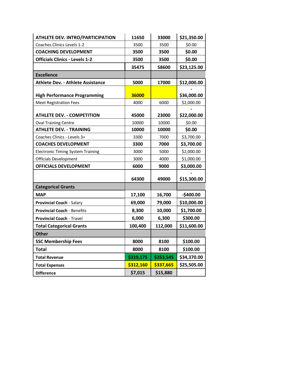| <b>ATHLETE DEV. INTRO/PARTICIPATION</b>  | 11650     | 33000     | \$21,350.00 |
|------------------------------------------|-----------|-----------|-------------|
| Coaches Clinics Levels 1-2               | 3500      | 3500      | \$0.00      |
| <b>COACHING DEVELOPMENT</b>              | 3500      | 3500      | \$0.00      |
| <b>Officials Clinics - Levels 1-2</b>    | 3500      | 3500      | \$0.00      |
|                                          | 35475     | 58600     | \$23,125.00 |
| <b>Excellence</b>                        |           |           |             |
| <b>Athlete Dev. - Athlete Assistance</b> | 5000      | 17000     | \$12,000.00 |
| <b>High Performance Programming</b>      | 36000     |           | \$36,000.00 |
| <b>Meet Registration Fees</b>            | 4000      | 6000      | \$2,000.00  |
| <b>ATHLETE DEV. - COMPETITION</b>        | 45000     | 23000     | \$22,000.00 |
| <b>Oval Training Centre</b>              | 10000     | 10000     | \$0.00      |
| <b>ATHLETE DEV. - TRAINING</b>           | 10000     | 10000     | \$0.00      |
| Coaches Clinics - Levels 3+              | 3300      | 7000      | \$3,700.00  |
| <b>COACHES DEVELOPMENT</b>               | 3300      | 7000      | \$3,700.00  |
| <b>Electronic Timing System Training</b> | 3000      | 5000      | \$2,000.00  |
| <b>Officials Development</b>             | 3000      | 4000      | \$1,000.00  |
| <b>OFFICIALS DEVELOPMENT</b>             | 6000      | 9000      | \$3,000.00  |
|                                          | 64300     | 49000     | \$15,300.00 |
| <b>Categorical Grants</b>                |           |           |             |
| <b>MAP</b>                               | 17,100    | 16,700    | $-$400.00$  |
| Provincial Coach - Salary                | 69,000    | 79,000    | \$10,000.00 |
| <b>Provincial Coach - Benefits</b>       | 8,300     | 10,000    | \$1,700.00  |
| <b>Provincial Coach - Travel</b>         | 6,000     | 6,300     | \$300.00    |
| <b>Total Categorical Grants</b>          | 100,400   | 112,000   | \$11,600.00 |
| <b>Other</b>                             |           |           |             |
| <b>SSC Membership Fees</b>               | 8000      | 8100      | \$100.00    |
| <b>Total</b>                             | 8000      | 8100      | \$100.00    |
| <b>Total Revenue</b>                     | \$319,175 | \$353,545 | \$34,370.00 |
| <b>Total Expenses</b>                    | \$312,160 | \$337,665 | \$25,505.00 |
| <b>Difference</b>                        | \$7,015   | \$15,880  |             |